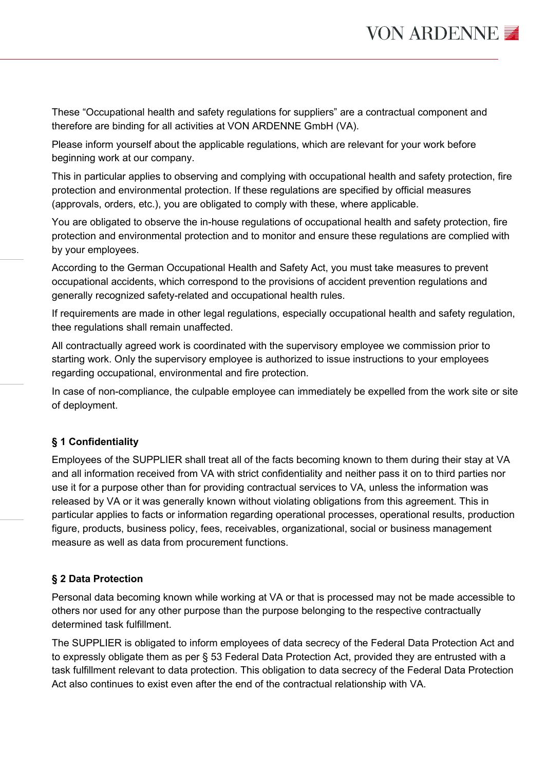These "Occupational health and safety regulations for suppliers" are a contractual component and therefore are binding for all activities at VON ARDENNE GmbH (VA).

Please inform yourself about the applicable regulations, which are relevant for your work before beginning work at our company.

This in particular applies to observing and complying with occupational health and safety protection, fire protection and environmental protection. If these regulations are specified by official measures (approvals, orders, etc.), you are obligated to comply with these, where applicable.

You are obligated to observe the in-house regulations of occupational health and safety protection, fire protection and environmental protection and to monitor and ensure these regulations are complied with by your employees.

According to the German Occupational Health and Safety Act, you must take measures to prevent occupational accidents, which correspond to the provisions of accident prevention regulations and generally recognized safety-related and occupational health rules.

If requirements are made in other legal regulations, especially occupational health and safety regulation, thee regulations shall remain unaffected.

All contractually agreed work is coordinated with the supervisory employee we commission prior to starting work. Only the supervisory employee is authorized to issue instructions to your employees regarding occupational, environmental and fire protection.

In case of non-compliance, the culpable employee can immediately be expelled from the work site or site of deployment.

# **§ 1 Confidentiality**

Employees of the SUPPLIER shall treat all of the facts becoming known to them during their stay at VA and all information received from VA with strict confidentiality and neither pass it on to third parties nor use it for a purpose other than for providing contractual services to VA, unless the information was released by VA or it was generally known without violating obligations from this agreement. This in particular applies to facts or information regarding operational processes, operational results, production figure, products, business policy, fees, receivables, organizational, social or business management measure as well as data from procurement functions.

# **§ 2 Data Protection**

Personal data becoming known while working at VA or that is processed may not be made accessible to others nor used for any other purpose than the purpose belonging to the respective contractually determined task fulfillment.

The SUPPLIER is obligated to inform employees of data secrecy of the Federal Data Protection Act and to expressly obligate them as per § 53 Federal Data Protection Act, provided they are entrusted with a task fulfillment relevant to data protection. This obligation to data secrecy of the Federal Data Protection Act also continues to exist even after the end of the contractual relationship with VA.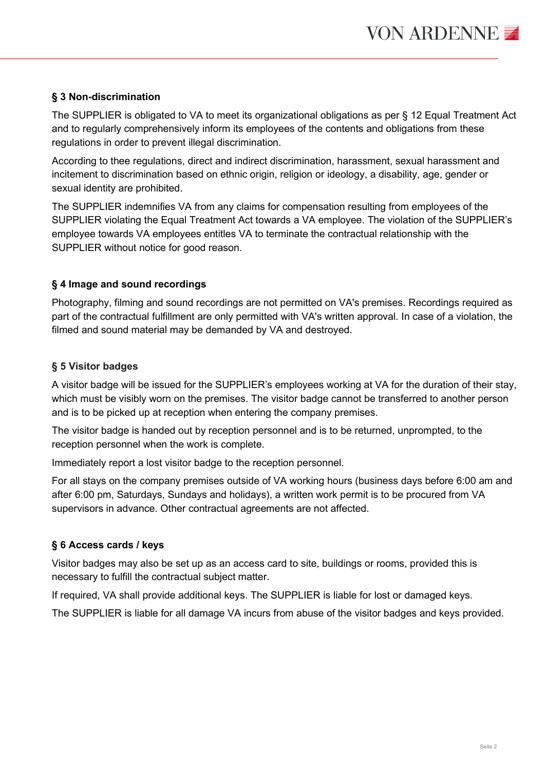# **§ 3 Non-discrimination**

The SUPPLIER is obligated to VA to meet its organizational obligations as per § 12 Equal Treatment Act and to regularly comprehensively inform its employees of the contents and obligations from these regulations in order to prevent illegal discrimination.

According to thee regulations, direct and indirect discrimination, harassment, sexual harassment and incitement to discrimination based on ethnic origin, religion or ideology, a disability, age, gender or sexual identity are prohibited.

The SUPPLIER indemnifies VA from any claims for compensation resulting from employees of the SUPPLIER violating the Equal Treatment Act towards a VA employee. The violation of the SUPPLIER's employee towards VA employees entitles VA to terminate the contractual relationship with the SUPPLIER without notice for good reason.

# **§ 4 Image and sound recordings**

Photography, filming and sound recordings are not permitted on VA's premises. Recordings required as part of the contractual fulfillment are only permitted with VA's written approval. In case of a violation, the filmed and sound material may be demanded by VA and destroyed.

# **§ 5 Visitor badges**

A visitor badge will be issued for the SUPPLIER's employees working at VA for the duration of their stay, which must be visibly worn on the premises. The visitor badge cannot be transferred to another person and is to be picked up at reception when entering the company premises.

The visitor badge is handed out by reception personnel and is to be returned, unprompted, to the reception personnel when the work is complete.

Immediately report a lost visitor badge to the reception personnel.

For all stays on the company premises outside of VA working hours (business days before 6:00 am and after 6:00 pm, Saturdays, Sundays and holidays), a written work permit is to be procured from VA supervisors in advance. Other contractual agreements are not affected.

## **§ 6 Access cards / keys**

Visitor badges may also be set up as an access card to site, buildings or rooms, provided this is necessary to fulfill the contractual subject matter.

If required, VA shall provide additional keys. The SUPPLIER is liable for lost or damaged keys.

The SUPPLIER is liable for all damage VA incurs from abuse of the visitor badges and keys provided.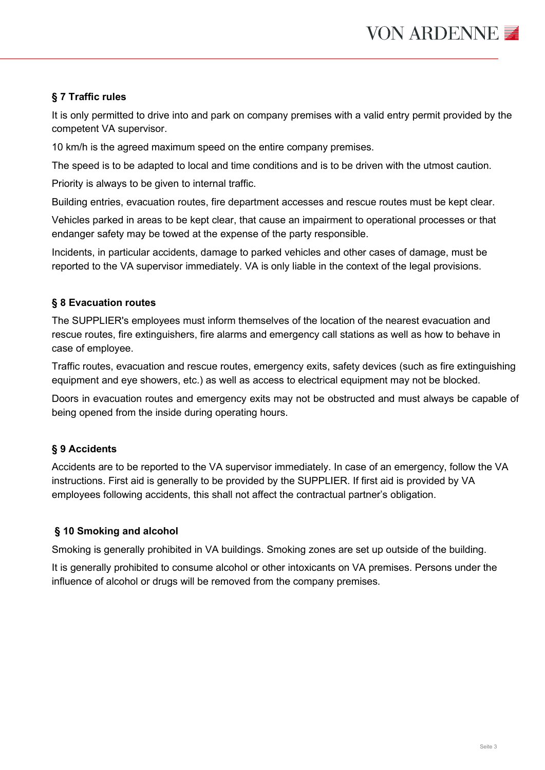# **§ 7 Traffic rules**

It is only permitted to drive into and park on company premises with a valid entry permit provided by the competent VA supervisor.

10 km/h is the agreed maximum speed on the entire company premises.

The speed is to be adapted to local and time conditions and is to be driven with the utmost caution.

Priority is always to be given to internal traffic.

Building entries, evacuation routes, fire department accesses and rescue routes must be kept clear.

Vehicles parked in areas to be kept clear, that cause an impairment to operational processes or that endanger safety may be towed at the expense of the party responsible.

Incidents, in particular accidents, damage to parked vehicles and other cases of damage, must be reported to the VA supervisor immediately. VA is only liable in the context of the legal provisions.

## **§ 8 Evacuation routes**

The SUPPLIER's employees must inform themselves of the location of the nearest evacuation and rescue routes, fire extinguishers, fire alarms and emergency call stations as well as how to behave in case of employee.

Traffic routes, evacuation and rescue routes, emergency exits, safety devices (such as fire extinguishing equipment and eye showers, etc.) as well as access to electrical equipment may not be blocked.

Doors in evacuation routes and emergency exits may not be obstructed and must always be capable of being opened from the inside during operating hours.

## **§ 9 Accidents**

Accidents are to be reported to the VA supervisor immediately. In case of an emergency, follow the VA instructions. First aid is generally to be provided by the SUPPLIER. If first aid is provided by VA employees following accidents, this shall not affect the contractual partner's obligation.

# **§ 10 Smoking and alcohol**

Smoking is generally prohibited in VA buildings. Smoking zones are set up outside of the building.

It is generally prohibited to consume alcohol or other intoxicants on VA premises. Persons under the influence of alcohol or drugs will be removed from the company premises.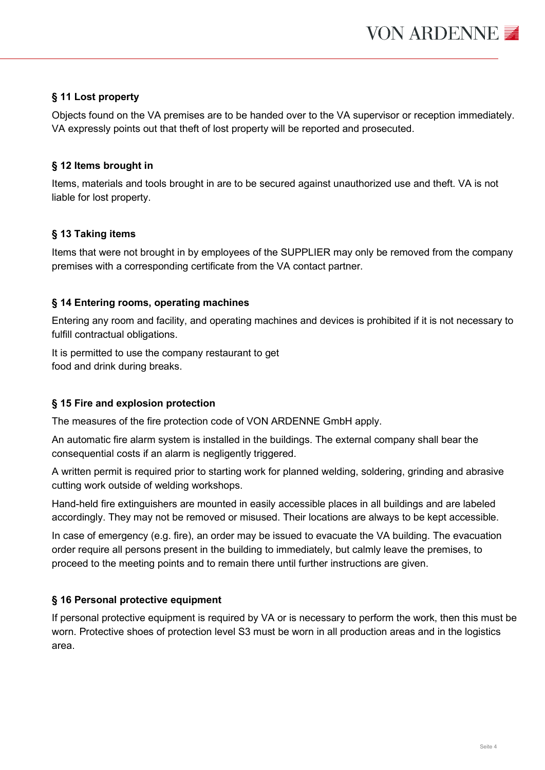## **§ 11 Lost property**

Objects found on the VA premises are to be handed over to the VA supervisor or reception immediately. VA expressly points out that theft of lost property will be reported and prosecuted.

## **§ 12 Items brought in**

Items, materials and tools brought in are to be secured against unauthorized use and theft. VA is not liable for lost property.

## **§ 13 Taking items**

Items that were not brought in by employees of the SUPPLIER may only be removed from the company premises with a corresponding certificate from the VA contact partner.

## **§ 14 Entering rooms, operating machines**

Entering any room and facility, and operating machines and devices is prohibited if it is not necessary to fulfill contractual obligations.

It is permitted to use the company restaurant to get food and drink during breaks.

## **§ 15 Fire and explosion protection**

The measures of the fire protection code of VON ARDENNE GmbH apply.

An automatic fire alarm system is installed in the buildings. The external company shall bear the consequential costs if an alarm is negligently triggered.

A written permit is required prior to starting work for planned welding, soldering, grinding and abrasive cutting work outside of welding workshops.

Hand-held fire extinguishers are mounted in easily accessible places in all buildings and are labeled accordingly. They may not be removed or misused. Their locations are always to be kept accessible.

In case of emergency (e.g. fire), an order may be issued to evacuate the VA building. The evacuation order require all persons present in the building to immediately, but calmly leave the premises, to proceed to the meeting points and to remain there until further instructions are given.

## **§ 16 Personal protective equipment**

If personal protective equipment is required by VA or is necessary to perform the work, then this must be worn. Protective shoes of protection level S3 must be worn in all production areas and in the logistics area.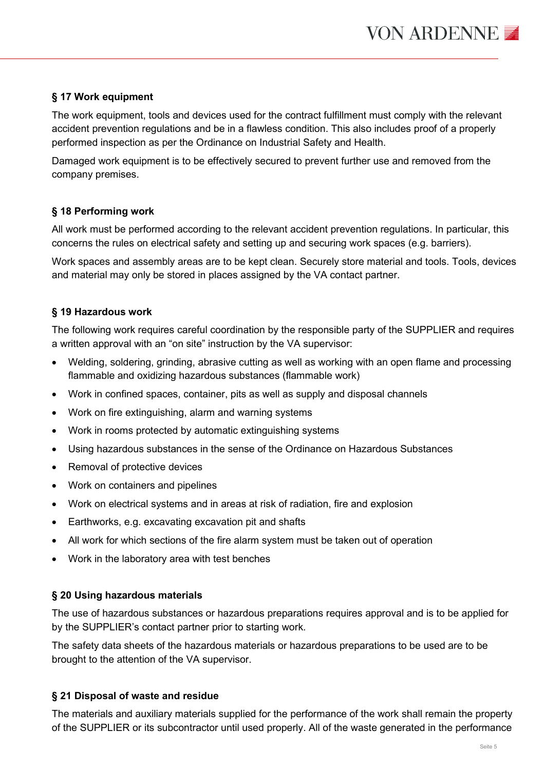## **§ 17 Work equipment**

The work equipment, tools and devices used for the contract fulfillment must comply with the relevant accident prevention regulations and be in a flawless condition. This also includes proof of a properly performed inspection as per the Ordinance on Industrial Safety and Health.

Damaged work equipment is to be effectively secured to prevent further use and removed from the company premises.

#### **§ 18 Performing work**

All work must be performed according to the relevant accident prevention regulations. In particular, this concerns the rules on electrical safety and setting up and securing work spaces (e.g. barriers).

Work spaces and assembly areas are to be kept clean. Securely store material and tools. Tools, devices and material may only be stored in places assigned by the VA contact partner.

#### **§ 19 Hazardous work**

The following work requires careful coordination by the responsible party of the SUPPLIER and requires a written approval with an "on site" instruction by the VA supervisor:

- Welding, soldering, grinding, abrasive cutting as well as working with an open flame and processing flammable and oxidizing hazardous substances (flammable work)
- Work in confined spaces, container, pits as well as supply and disposal channels
- Work on fire extinguishing, alarm and warning systems
- Work in rooms protected by automatic extinguishing systems
- Using hazardous substances in the sense of the Ordinance on Hazardous Substances
- Removal of protective devices
- Work on containers and pipelines
- Work on electrical systems and in areas at risk of radiation, fire and explosion
- Earthworks, e.g. excavating excavation pit and shafts
- All work for which sections of the fire alarm system must be taken out of operation
- Work in the laboratory area with test benches

#### **§ 20 Using hazardous materials**

The use of hazardous substances or hazardous preparations requires approval and is to be applied for by the SUPPLIER's contact partner prior to starting work.

The safety data sheets of the hazardous materials or hazardous preparations to be used are to be brought to the attention of the VA supervisor.

#### **§ 21 Disposal of waste and residue**

The materials and auxiliary materials supplied for the performance of the work shall remain the property of the SUPPLIER or its subcontractor until used properly. All of the waste generated in the performance